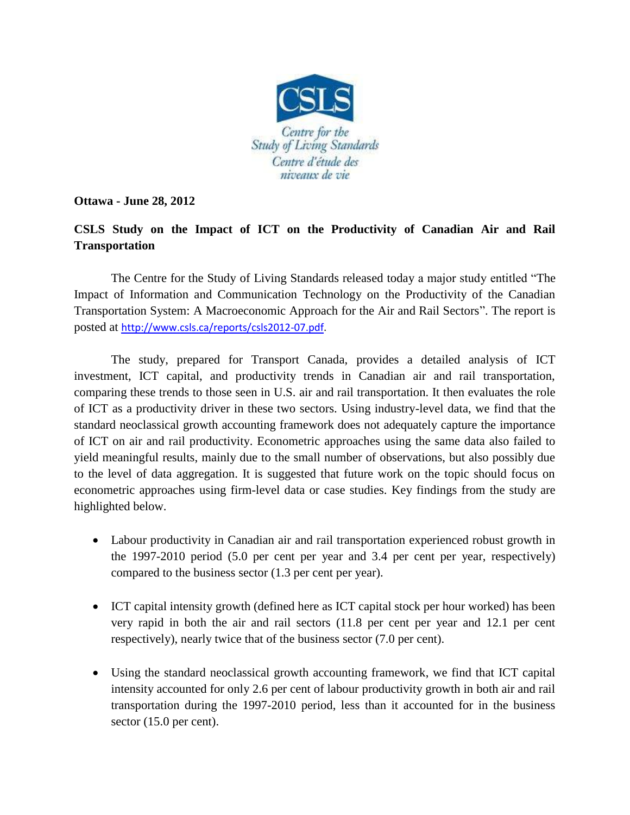

## **Ottawa - June 28, 2012**

## **CSLS Study on the Impact of ICT on the Productivity of Canadian Air and Rail Transportation**

The Centre for the Study of Living Standards released today a major study entitled "The Impact of Information and Communication Technology on the Productivity of the Canadian Transportation System: A Macroeconomic Approach for the Air and Rail Sectors". The report is posted at [http://www.csls.ca/reports/csls2012-07.pdf.](http://www.csls.ca/reports/csls2012-07.pdf)

The study, prepared for Transport Canada, provides a detailed analysis of ICT investment, ICT capital, and productivity trends in Canadian air and rail transportation, comparing these trends to those seen in U.S. air and rail transportation. It then evaluates the role of ICT as a productivity driver in these two sectors. Using industry-level data, we find that the standard neoclassical growth accounting framework does not adequately capture the importance of ICT on air and rail productivity. Econometric approaches using the same data also failed to yield meaningful results, mainly due to the small number of observations, but also possibly due to the level of data aggregation. It is suggested that future work on the topic should focus on econometric approaches using firm-level data or case studies. Key findings from the study are highlighted below.

- Labour productivity in Canadian air and rail transportation experienced robust growth in the 1997-2010 period (5.0 per cent per year and 3.4 per cent per year, respectively) compared to the business sector (1.3 per cent per year).
- ICT capital intensity growth (defined here as ICT capital stock per hour worked) has been very rapid in both the air and rail sectors (11.8 per cent per year and 12.1 per cent respectively), nearly twice that of the business sector (7.0 per cent).
- Using the standard neoclassical growth accounting framework, we find that ICT capital intensity accounted for only 2.6 per cent of labour productivity growth in both air and rail transportation during the 1997-2010 period, less than it accounted for in the business sector (15.0 per cent).